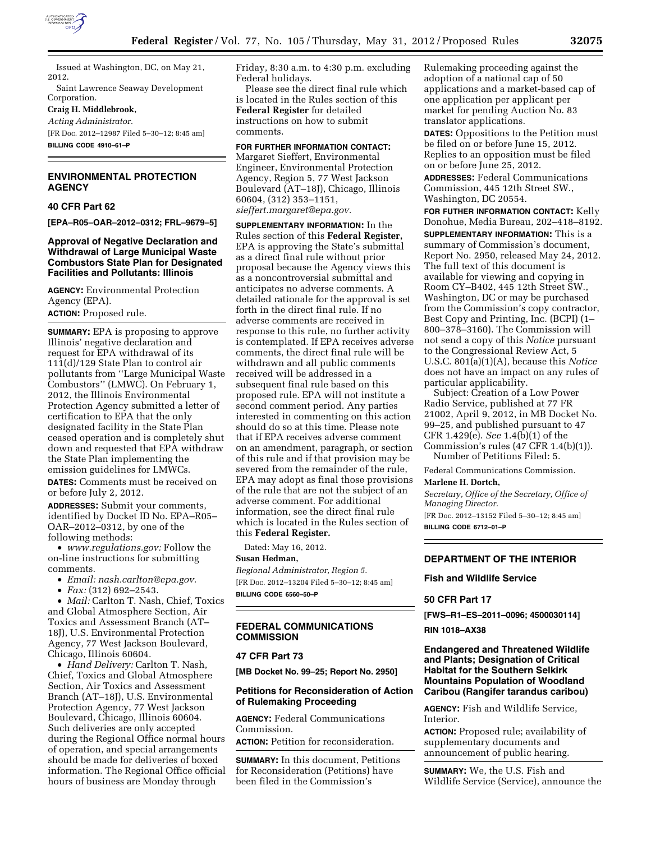

Issued at Washington, DC, on May 21, 2012.

Saint Lawrence Seaway Development Corporation.

#### **Craig H. Middlebrook,**

*Acting Administrator.* 

[FR Doc. 2012–12987 Filed 5–30–12; 8:45 am] **BILLING CODE 4910–61–P** 

## **ENVIRONMENTAL PROTECTION AGENCY**

# **40 CFR Part 62**

**[EPA–R05–OAR–2012–0312; FRL–9679–5]** 

## **Approval of Negative Declaration and Withdrawal of Large Municipal Waste Combustors State Plan for Designated Facilities and Pollutants: Illinois**

**AGENCY:** Environmental Protection Agency (EPA). **ACTION:** Proposed rule.

**SUMMARY:** EPA is proposing to approve Illinois' negative declaration and request for EPA withdrawal of its 111(d)/129 State Plan to control air pollutants from ''Large Municipal Waste Combustors'' (LMWC). On February 1, 2012, the Illinois Environmental Protection Agency submitted a letter of certification to EPA that the only designated facility in the State Plan ceased operation and is completely shut down and requested that EPA withdraw the State Plan implementing the emission guidelines for LMWCs.

**DATES:** Comments must be received on or before July 2, 2012.

**ADDRESSES:** Submit your comments, identified by Docket ID No. EPA–R05– OAR–2012–0312, by one of the following methods:

• *[www.regulations.gov:](http://www.regulations.gov)* Follow the on-line instructions for submitting comments.

- *Email: [nash.carlton@epa.gov.](mailto:nash.carlton@epa.gov)*
- *Fax:* (312) 692–2543.

• *Mail:* Carlton T. Nash, Chief, Toxics and Global Atmosphere Section, Air Toxics and Assessment Branch (AT– 18J), U.S. Environmental Protection Agency, 77 West Jackson Boulevard, Chicago, Illinois 60604.

• *Hand Delivery:* Carlton T. Nash, Chief, Toxics and Global Atmosphere Section, Air Toxics and Assessment Branch (AT–18J), U.S. Environmental Protection Agency, 77 West Jackson Boulevard, Chicago, Illinois 60604. Such deliveries are only accepted during the Regional Office normal hours of operation, and special arrangements should be made for deliveries of boxed information. The Regional Office official hours of business are Monday through

Friday, 8:30 a.m. to 4:30 p.m. excluding Federal holidays.

Please see the direct final rule which is located in the Rules section of this **Federal Register** for detailed instructions on how to submit comments.

**FOR FURTHER INFORMATION CONTACT:**  Margaret Sieffert, Environmental Engineer, Environmental Protection Agency, Region 5, 77 West Jackson Boulevard (AT–18J), Chicago, Illinois 60604, (312) 353–1151, *[sieffert.margaret@epa.gov.](mailto:sieffert.margaret@epa.gov)* 

**SUPPLEMENTARY INFORMATION:** In the Rules section of this **Federal Register,**  EPA is approving the State's submittal as a direct final rule without prior proposal because the Agency views this as a noncontroversial submittal and anticipates no adverse comments. A detailed rationale for the approval is set forth in the direct final rule. If no adverse comments are received in response to this rule, no further activity is contemplated. If EPA receives adverse comments, the direct final rule will be withdrawn and all public comments received will be addressed in a subsequent final rule based on this proposed rule. EPA will not institute a second comment period. Any parties interested in commenting on this action should do so at this time. Please note that if EPA receives adverse comment on an amendment, paragraph, or section of this rule and if that provision may be severed from the remainder of the rule, EPA may adopt as final those provisions of the rule that are not the subject of an adverse comment. For additional information, see the direct final rule which is located in the Rules section of this **Federal Register.** 

Dated: May 16, 2012. **Susan Hedman,** 

*Regional Administrator, Region 5.*  [FR Doc. 2012–13204 Filed 5–30–12; 8:45 am] **BILLING CODE 6560–50–P** 

# **FEDERAL COMMUNICATIONS COMMISSION**

## **47 CFR Part 73**

**[MB Docket No. 99–25; Report No. 2950]** 

## **Petitions for Reconsideration of Action of Rulemaking Proceeding**

**AGENCY:** Federal Communications Commission.

**ACTION:** Petition for reconsideration.

**SUMMARY:** In this document, Petitions for Reconsideration (Petitions) have been filed in the Commission's

Rulemaking proceeding against the adoption of a national cap of 50 applications and a market-based cap of one application per applicant per market for pending Auction No. 83 translator applications.

**DATES:** Oppositions to the Petition must be filed on or before June 15, 2012. Replies to an opposition must be filed on or before June 25, 2012.

**ADDRESSES:** Federal Communications Commission, 445 12th Street SW., Washington, DC 20554.

**FOR FUTHER INFORMATION CONTACT:** Kelly Donohue, Media Bureau, 202–418–8192.

**SUPPLEMENTARY INFORMATION:** This is a summary of Commission's document, Report No. 2950, released May 24, 2012. The full text of this document is available for viewing and copying in Room CY–B402, 445 12th Street SW., Washington, DC or may be purchased from the Commission's copy contractor, Best Copy and Printing, Inc. (BCPI) (1– 800–378–3160). The Commission will not send a copy of this *Notice* pursuant to the Congressional Review Act, 5 U.S.C. 801(a)(1)(A), because this *Notice*  does not have an impact on any rules of particular applicability.

Subject: Creation of a Low Power Radio Service, published at 77 FR 21002, April 9, 2012, in MB Docket No. 99–25, and published pursuant to 47 CFR 1.429(e). *See* 1.4(b)(1) of the Commission's rules (47 CFR 1.4(b)(1)). Number of Petitions Filed: 5.

Federal Communications Commission.

#### **Marlene H. Dortch,**

*Secretary, Office of the Secretary, Office of Managing Director.*  [FR Doc. 2012–13152 Filed 5–30–12; 8:45 am]

**BILLING CODE 6712–01–P** 

### **DEPARTMENT OF THE INTERIOR**

## **Fish and Wildlife Service**

## **50 CFR Part 17**

**[FWS–R1–ES–2011–0096; 4500030114]** 

# **RIN 1018–AX38**

## **Endangered and Threatened Wildlife and Plants; Designation of Critical Habitat for the Southern Selkirk Mountains Population of Woodland Caribou (Rangifer tarandus caribou)**

**AGENCY:** Fish and Wildlife Service, Interior.

**ACTION:** Proposed rule; availability of supplementary documents and announcement of public hearing.

**SUMMARY:** We, the U.S. Fish and Wildlife Service (Service), announce the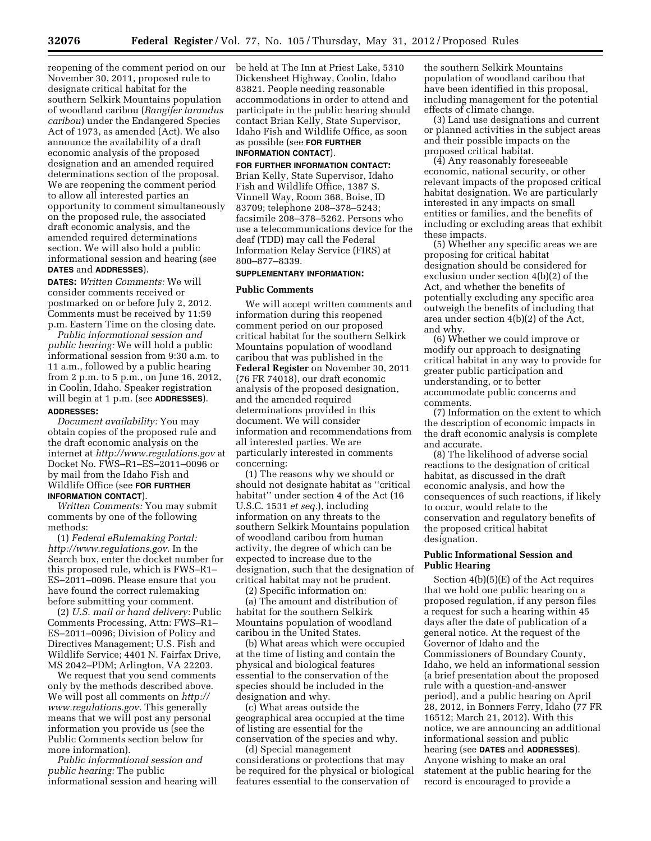reopening of the comment period on our November 30, 2011, proposed rule to designate critical habitat for the southern Selkirk Mountains population of woodland caribou (*Rangifer tarandus caribou*) under the Endangered Species Act of 1973, as amended (Act). We also announce the availability of a draft economic analysis of the proposed designation and an amended required determinations section of the proposal. We are reopening the comment period to allow all interested parties an opportunity to comment simultaneously on the proposed rule, the associated draft economic analysis, and the amended required determinations section. We will also hold a public informational session and hearing (see **DATES** and **ADDRESSES**).

**DATES:** *Written Comments:* We will consider comments received or postmarked on or before July 2, 2012. Comments must be received by 11:59 p.m. Eastern Time on the closing date.

*Public informational session and public hearing:* We will hold a public informational session from 9:30 a.m. to 11 a.m., followed by a public hearing from 2 p.m. to 5 p.m., on June 16, 2012, in Coolin, Idaho. Speaker registration will begin at 1 p.m. (see **ADDRESSES**). **ADDRESSES:** 

*Document availability:* You may obtain copies of the proposed rule and the draft economic analysis on the internet at *<http://www.regulations.gov>* at Docket No. FWS–R1–ES–2011–0096 or by mail from the Idaho Fish and Wildlife Office (see **FOR FURTHER INFORMATION CONTACT**).

*Written Comments:* You may submit comments by one of the following methods:

(1) *Federal eRulemaking Portal: [http://www.regulations.gov.](http://www.regulations.gov)* In the Search box, enter the docket number for this proposed rule, which is FWS–R1– ES–2011–0096. Please ensure that you have found the correct rulemaking before submitting your comment.

(2) *U.S. mail or hand delivery:* Public Comments Processing, Attn: FWS–R1– ES–2011–0096; Division of Policy and Directives Management; U.S. Fish and Wildlife Service; 4401 N. Fairfax Drive, MS 2042–PDM; Arlington, VA 22203.

We request that you send comments only by the methods described above. We will post all comments on *[http://](http://www.regulations.gov) [www.regulations.gov.](http://www.regulations.gov)* This generally means that we will post any personal information you provide us (see the Public Comments section below for more information).

*Public informational session and public hearing:* The public informational session and hearing will be held at The Inn at Priest Lake, 5310 Dickensheet Highway, Coolin, Idaho 83821. People needing reasonable accommodations in order to attend and participate in the public hearing should contact Brian Kelly, State Supervisor, Idaho Fish and Wildlife Office, as soon as possible (see **FOR FURTHER INFORMATION CONTACT**).

**FOR FURTHER INFORMATION CONTACT:**  Brian Kelly, State Supervisor, Idaho Fish and Wildlife Office, 1387 S. Vinnell Way, Room 368, Boise, ID 83709; telephone 208–378–5243; facsimile 208–378–5262. Persons who use a telecommunications device for the deaf (TDD) may call the Federal Information Relay Service (FIRS) at 800–877–8339.

## **SUPPLEMENTARY INFORMATION:**

#### **Public Comments**

We will accept written comments and information during this reopened comment period on our proposed critical habitat for the southern Selkirk Mountains population of woodland caribou that was published in the **Federal Register** on November 30, 2011 (76 FR 74018), our draft economic analysis of the proposed designation, and the amended required determinations provided in this document. We will consider information and recommendations from all interested parties. We are particularly interested in comments concerning:

(1) The reasons why we should or should not designate habitat as ''critical habitat'' under section 4 of the Act (16 U.S.C. 1531 *et seq.*), including information on any threats to the southern Selkirk Mountains population of woodland caribou from human activity, the degree of which can be expected to increase due to the designation, such that the designation of critical habitat may not be prudent.

(2) Specific information on:

(a) The amount and distribution of habitat for the southern Selkirk Mountains population of woodland caribou in the United States.

(b) What areas which were occupied at the time of listing and contain the physical and biological features essential to the conservation of the species should be included in the designation and why.

(c) What areas outside the geographical area occupied at the time of listing are essential for the conservation of the species and why.

(d) Special management considerations or protections that may be required for the physical or biological features essential to the conservation of

the southern Selkirk Mountains population of woodland caribou that have been identified in this proposal, including management for the potential effects of climate change.

(3) Land use designations and current or planned activities in the subject areas and their possible impacts on the proposed critical habitat.

(4) Any reasonably foreseeable economic, national security, or other relevant impacts of the proposed critical habitat designation. We are particularly interested in any impacts on small entities or families, and the benefits of including or excluding areas that exhibit these impacts.

(5) Whether any specific areas we are proposing for critical habitat designation should be considered for exclusion under section 4(b)(2) of the Act, and whether the benefits of potentially excluding any specific area outweigh the benefits of including that area under section 4(b)(2) of the Act, and why.

(6) Whether we could improve or modify our approach to designating critical habitat in any way to provide for greater public participation and understanding, or to better accommodate public concerns and comments.

(7) Information on the extent to which the description of economic impacts in the draft economic analysis is complete and accurate.

(8) The likelihood of adverse social reactions to the designation of critical habitat, as discussed in the draft economic analysis, and how the consequences of such reactions, if likely to occur, would relate to the conservation and regulatory benefits of the proposed critical habitat designation.

# **Public Informational Session and Public Hearing**

Section 4(b)(5)(E) of the Act requires that we hold one public hearing on a proposed regulation, if any person files a request for such a hearing within 45 days after the date of publication of a general notice. At the request of the Governor of Idaho and the Commissioners of Boundary County, Idaho, we held an informational session (a brief presentation about the proposed rule with a question-and-answer period), and a public hearing on April 28, 2012, in Bonners Ferry, Idaho (77 FR 16512; March 21, 2012). With this notice, we are announcing an additional informational session and public hearing (see **DATES** and **ADDRESSES**). Anyone wishing to make an oral statement at the public hearing for the record is encouraged to provide a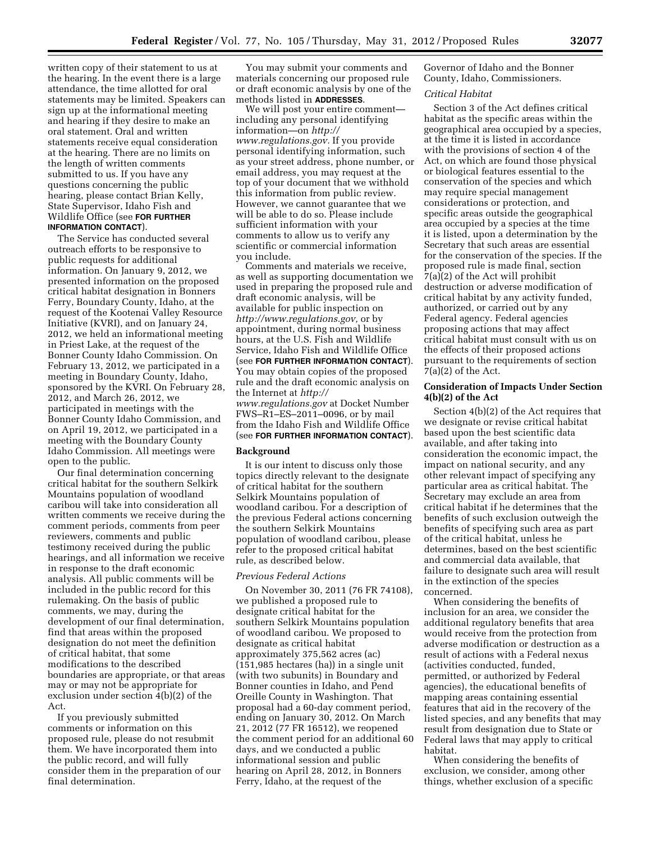written copy of their statement to us at the hearing. In the event there is a large attendance, the time allotted for oral statements may be limited. Speakers can sign up at the informational meeting and hearing if they desire to make an oral statement. Oral and written statements receive equal consideration at the hearing. There are no limits on the length of written comments submitted to us. If you have any questions concerning the public hearing, please contact Brian Kelly, State Supervisor, Idaho Fish and Wildlife Office (see **FOR FURTHER INFORMATION CONTACT**).

The Service has conducted several outreach efforts to be responsive to public requests for additional information. On January 9, 2012, we presented information on the proposed critical habitat designation in Bonners Ferry, Boundary County, Idaho, at the request of the Kootenai Valley Resource Initiative (KVRI), and on January 24, 2012, we held an informational meeting in Priest Lake, at the request of the Bonner County Idaho Commission. On February 13, 2012, we participated in a meeting in Boundary County, Idaho, sponsored by the KVRI. On February 28, 2012, and March 26, 2012, we participated in meetings with the Bonner County Idaho Commission, and on April 19, 2012, we participated in a meeting with the Boundary County Idaho Commission. All meetings were open to the public.

Our final determination concerning critical habitat for the southern Selkirk Mountains population of woodland caribou will take into consideration all written comments we receive during the comment periods, comments from peer reviewers, comments and public testimony received during the public hearings, and all information we receive in response to the draft economic analysis. All public comments will be included in the public record for this rulemaking. On the basis of public comments, we may, during the development of our final determination, find that areas within the proposed designation do not meet the definition of critical habitat, that some modifications to the described boundaries are appropriate, or that areas may or may not be appropriate for exclusion under section 4(b)(2) of the Act.

If you previously submitted comments or information on this proposed rule, please do not resubmit them. We have incorporated them into the public record, and will fully consider them in the preparation of our final determination.

You may submit your comments and materials concerning our proposed rule or draft economic analysis by one of the methods listed in **ADDRESSES**.

We will post your entire comment including any personal identifying information—on *[http://](http://www.regulations.gov) [www.regulations.gov.](http://www.regulations.gov)* If you provide personal identifying information, such as your street address, phone number, or email address, you may request at the top of your document that we withhold this information from public review. However, we cannot guarantee that we will be able to do so. Please include sufficient information with your comments to allow us to verify any scientific or commercial information you include.

Comments and materials we receive, as well as supporting documentation we used in preparing the proposed rule and draft economic analysis, will be available for public inspection on *[http://www.regulations.gov,](http://www.regulations.gov)* or by appointment, during normal business hours, at the U.S. Fish and Wildlife Service, Idaho Fish and Wildlife Office (see **FOR FURTHER INFORMATION CONTACT**). You may obtain copies of the proposed rule and the draft economic analysis on the Internet at *[http://](http://www.regulations.gov)  [www.regulations.gov](http://www.regulations.gov)* at Docket Number FWS–R1–ES–2011–0096, or by mail from the Idaho Fish and Wildlife Office (see **FOR FURTHER INFORMATION CONTACT**).

#### **Background**

It is our intent to discuss only those topics directly relevant to the designate of critical habitat for the southern Selkirk Mountains population of woodland caribou. For a description of the previous Federal actions concerning the southern Selkirk Mountains population of woodland caribou, please refer to the proposed critical habitat rule, as described below.

#### *Previous Federal Actions*

On November 30, 2011 (76 FR 74108), we published a proposed rule to designate critical habitat for the southern Selkirk Mountains population of woodland caribou. We proposed to designate as critical habitat approximately 375,562 acres (ac) (151,985 hectares (ha)) in a single unit (with two subunits) in Boundary and Bonner counties in Idaho, and Pend Oreille County in Washington. That proposal had a 60-day comment period, ending on January 30, 2012. On March 21, 2012 (77 FR 16512), we reopened the comment period for an additional 60 days, and we conducted a public informational session and public hearing on April 28, 2012, in Bonners Ferry, Idaho, at the request of the

Governor of Idaho and the Bonner County, Idaho, Commissioners.

### *Critical Habitat*

Section 3 of the Act defines critical habitat as the specific areas within the geographical area occupied by a species, at the time it is listed in accordance with the provisions of section 4 of the Act, on which are found those physical or biological features essential to the conservation of the species and which may require special management considerations or protection, and specific areas outside the geographical area occupied by a species at the time it is listed, upon a determination by the Secretary that such areas are essential for the conservation of the species. If the proposed rule is made final, section 7(a)(2) of the Act will prohibit destruction or adverse modification of critical habitat by any activity funded, authorized, or carried out by any Federal agency. Federal agencies proposing actions that may affect critical habitat must consult with us on the effects of their proposed actions pursuant to the requirements of section  $7(a)(2)$  of the Act.

## **Consideration of Impacts Under Section 4(b)(2) of the Act**

Section 4(b)(2) of the Act requires that we designate or revise critical habitat based upon the best scientific data available, and after taking into consideration the economic impact, the impact on national security, and any other relevant impact of specifying any particular area as critical habitat. The Secretary may exclude an area from critical habitat if he determines that the benefits of such exclusion outweigh the benefits of specifying such area as part of the critical habitat, unless he determines, based on the best scientific and commercial data available, that failure to designate such area will result in the extinction of the species concerned.

When considering the benefits of inclusion for an area, we consider the additional regulatory benefits that area would receive from the protection from adverse modification or destruction as a result of actions with a Federal nexus (activities conducted, funded, permitted, or authorized by Federal agencies), the educational benefits of mapping areas containing essential features that aid in the recovery of the listed species, and any benefits that may result from designation due to State or Federal laws that may apply to critical habitat.

When considering the benefits of exclusion, we consider, among other things, whether exclusion of a specific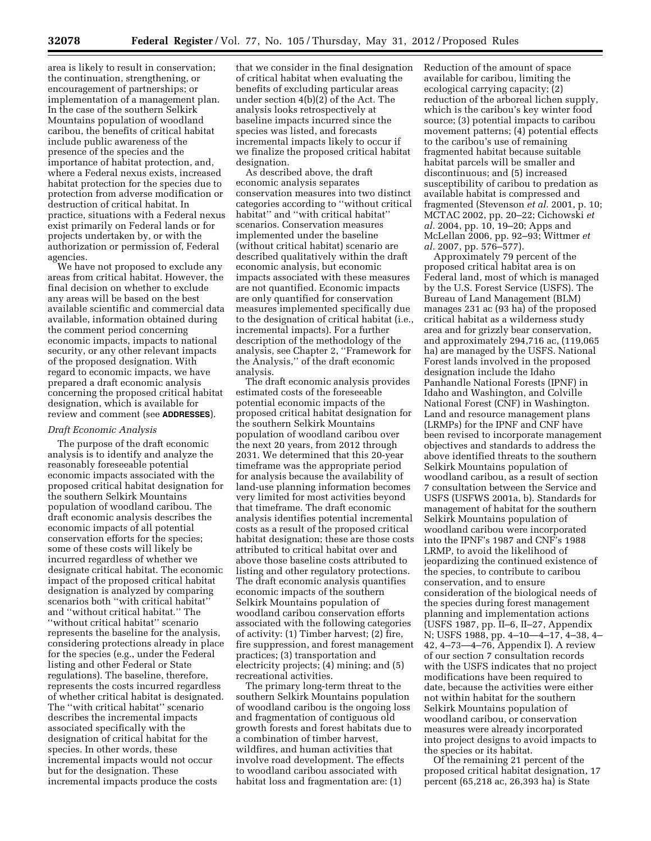area is likely to result in conservation; the continuation, strengthening, or encouragement of partnerships; or implementation of a management plan. In the case of the southern Selkirk Mountains population of woodland caribou, the benefits of critical habitat include public awareness of the presence of the species and the importance of habitat protection, and, where a Federal nexus exists, increased habitat protection for the species due to protection from adverse modification or destruction of critical habitat. In practice, situations with a Federal nexus exist primarily on Federal lands or for projects undertaken by, or with the authorization or permission of, Federal agencies.

We have not proposed to exclude any areas from critical habitat. However, the final decision on whether to exclude any areas will be based on the best available scientific and commercial data available, information obtained during the comment period concerning economic impacts, impacts to national security, or any other relevant impacts of the proposed designation. With regard to economic impacts, we have prepared a draft economic analysis concerning the proposed critical habitat designation, which is available for review and comment (see **ADDRESSES**).

## *Draft Economic Analysis*

The purpose of the draft economic analysis is to identify and analyze the reasonably foreseeable potential economic impacts associated with the proposed critical habitat designation for the southern Selkirk Mountains population of woodland caribou. The draft economic analysis describes the economic impacts of all potential conservation efforts for the species; some of these costs will likely be incurred regardless of whether we designate critical habitat. The economic impact of the proposed critical habitat designation is analyzed by comparing scenarios both ''with critical habitat'' and ''without critical habitat.'' The ''without critical habitat'' scenario represents the baseline for the analysis, considering protections already in place for the species (e.g., under the Federal listing and other Federal or State regulations). The baseline, therefore, represents the costs incurred regardless of whether critical habitat is designated. The ''with critical habitat'' scenario describes the incremental impacts associated specifically with the designation of critical habitat for the species. In other words, these incremental impacts would not occur but for the designation. These incremental impacts produce the costs

that we consider in the final designation of critical habitat when evaluating the benefits of excluding particular areas under section 4(b)(2) of the Act. The analysis looks retrospectively at baseline impacts incurred since the species was listed, and forecasts incremental impacts likely to occur if we finalize the proposed critical habitat designation.

As described above, the draft economic analysis separates conservation measures into two distinct categories according to ''without critical habitat'' and ''with critical habitat'' scenarios. Conservation measures implemented under the baseline (without critical habitat) scenario are described qualitatively within the draft economic analysis, but economic impacts associated with these measures are not quantified. Economic impacts are only quantified for conservation measures implemented specifically due to the designation of critical habitat (i.e., incremental impacts). For a further description of the methodology of the analysis, see Chapter 2, ''Framework for the Analysis,'' of the draft economic analysis.

The draft economic analysis provides estimated costs of the foreseeable potential economic impacts of the proposed critical habitat designation for the southern Selkirk Mountains population of woodland caribou over the next 20 years, from 2012 through 2031. We determined that this 20-year timeframe was the appropriate period for analysis because the availability of land-use planning information becomes very limited for most activities beyond that timeframe. The draft economic analysis identifies potential incremental costs as a result of the proposed critical habitat designation; these are those costs attributed to critical habitat over and above those baseline costs attributed to listing and other regulatory protections. The draft economic analysis quantifies economic impacts of the southern Selkirk Mountains population of woodland caribou conservation efforts associated with the following categories of activity: (1) Timber harvest; (2) fire, fire suppression, and forest management practices; (3) transportation and electricity projects; (4) mining; and (5) recreational activities.

The primary long-term threat to the southern Selkirk Mountains population of woodland caribou is the ongoing loss and fragmentation of contiguous old growth forests and forest habitats due to a combination of timber harvest, wildfires, and human activities that involve road development. The effects to woodland caribou associated with habitat loss and fragmentation are: (1)

Reduction of the amount of space available for caribou, limiting the ecological carrying capacity; (2) reduction of the arboreal lichen supply, which is the caribou's key winter food source; (3) potential impacts to caribou movement patterns; (4) potential effects to the caribou's use of remaining fragmented habitat because suitable habitat parcels will be smaller and discontinuous; and (5) increased susceptibility of caribou to predation as available habitat is compressed and fragmented (Stevenson *et al.* 2001, p. 10; MCTAC 2002, pp. 20–22; Cichowski *et al.* 2004, pp. 10, 19–20; Apps and McLellan 2006, pp. 92–93; Wittmer *et al.* 2007, pp. 576–577).

Approximately 79 percent of the proposed critical habitat area is on Federal land, most of which is managed by the U.S. Forest Service (USFS). The Bureau of Land Management (BLM) manages 231 ac (93 ha) of the proposed critical habitat as a wilderness study area and for grizzly bear conservation, and approximately 294,716 ac, (119,065 ha) are managed by the USFS. National Forest lands involved in the proposed designation include the Idaho Panhandle National Forests (IPNF) in Idaho and Washington, and Colville National Forest (CNF) in Washington. Land and resource management plans (LRMPs) for the IPNF and CNF have been revised to incorporate management objectives and standards to address the above identified threats to the southern Selkirk Mountains population of woodland caribou, as a result of section 7 consultation between the Service and USFS (USFWS 2001a, b). Standards for management of habitat for the southern Selkirk Mountains population of woodland caribou were incorporated into the IPNF's 1987 and CNF's 1988 LRMP, to avoid the likelihood of jeopardizing the continued existence of the species, to contribute to caribou conservation, and to ensure consideration of the biological needs of the species during forest management planning and implementation actions (USFS 1987, pp. II–6, II–27, Appendix N; USFS 1988, pp. 4–10—4–17, 4–38, 4– 42, 4–73—4–76, Appendix I). A review of our section 7 consultation records with the USFS indicates that no project modifications have been required to date, because the activities were either not within habitat for the southern Selkirk Mountains population of woodland caribou, or conservation measures were already incorporated into project designs to avoid impacts to the species or its habitat.

Of the remaining 21 percent of the proposed critical habitat designation, 17 percent (65,218 ac, 26,393 ha) is State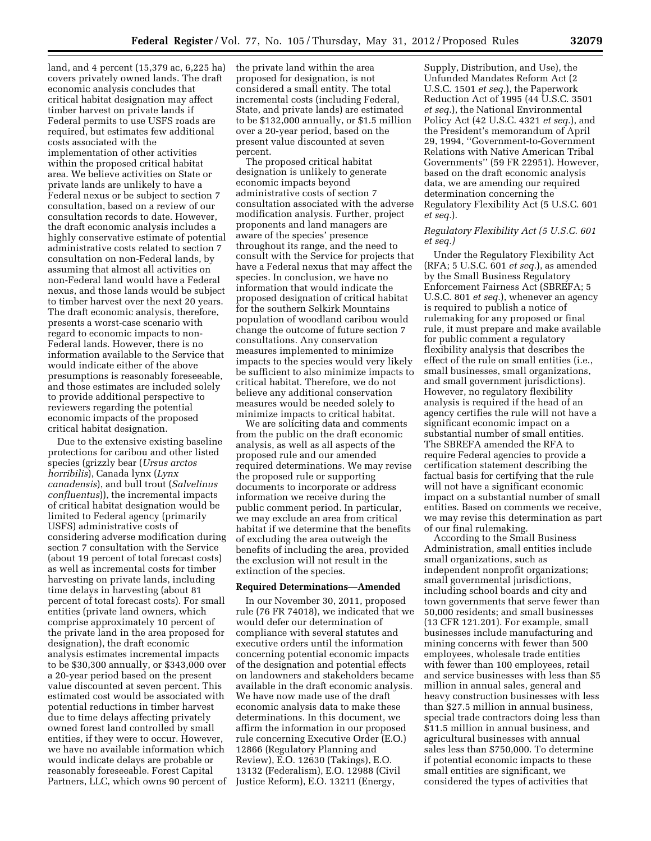land, and 4 percent (15,379 ac, 6,225 ha) covers privately owned lands. The draft economic analysis concludes that critical habitat designation may affect timber harvest on private lands if Federal permits to use USFS roads are required, but estimates few additional costs associated with the implementation of other activities within the proposed critical habitat area. We believe activities on State or private lands are unlikely to have a Federal nexus or be subject to section 7 consultation, based on a review of our consultation records to date. However, the draft economic analysis includes a highly conservative estimate of potential administrative costs related to section 7 consultation on non-Federal lands, by assuming that almost all activities on non-Federal land would have a Federal nexus, and those lands would be subject to timber harvest over the next 20 years. The draft economic analysis, therefore, presents a worst-case scenario with regard to economic impacts to non-Federal lands. However, there is no information available to the Service that would indicate either of the above presumptions is reasonably foreseeable, and those estimates are included solely to provide additional perspective to reviewers regarding the potential economic impacts of the proposed critical habitat designation.

Due to the extensive existing baseline protections for caribou and other listed species (grizzly bear (*Ursus arctos horribilis*), Canada lynx (*Lynx canadensis*), and bull trout (*Salvelinus confluentus*)), the incremental impacts of critical habitat designation would be limited to Federal agency (primarily USFS) administrative costs of considering adverse modification during section 7 consultation with the Service (about 19 percent of total forecast costs) as well as incremental costs for timber harvesting on private lands, including time delays in harvesting (about 81 percent of total forecast costs). For small entities (private land owners, which comprise approximately 10 percent of the private land in the area proposed for designation), the draft economic analysis estimates incremental impacts to be \$30,300 annually, or \$343,000 over a 20-year period based on the present value discounted at seven percent. This estimated cost would be associated with potential reductions in timber harvest due to time delays affecting privately owned forest land controlled by small entities, if they were to occur. However, we have no available information which would indicate delays are probable or reasonably foreseeable. Forest Capital Partners, LLC, which owns 90 percent of the private land within the area proposed for designation, is not considered a small entity. The total incremental costs (including Federal, State, and private lands) are estimated to be \$132,000 annually, or \$1.5 million over a 20-year period, based on the present value discounted at seven percent.

The proposed critical habitat designation is unlikely to generate economic impacts beyond administrative costs of section 7 consultation associated with the adverse modification analysis. Further, project proponents and land managers are aware of the species' presence throughout its range, and the need to consult with the Service for projects that have a Federal nexus that may affect the species. In conclusion, we have no information that would indicate the proposed designation of critical habitat for the southern Selkirk Mountains population of woodland caribou would change the outcome of future section 7 consultations. Any conservation measures implemented to minimize impacts to the species would very likely be sufficient to also minimize impacts to critical habitat. Therefore, we do not believe any additional conservation measures would be needed solely to minimize impacts to critical habitat.

We are soliciting data and comments from the public on the draft economic analysis, as well as all aspects of the proposed rule and our amended required determinations. We may revise the proposed rule or supporting documents to incorporate or address information we receive during the public comment period. In particular, we may exclude an area from critical habitat if we determine that the benefits of excluding the area outweigh the benefits of including the area, provided the exclusion will not result in the extinction of the species.

#### **Required Determinations—Amended**

In our November 30, 2011, proposed rule (76 FR 74018), we indicated that we would defer our determination of compliance with several statutes and executive orders until the information concerning potential economic impacts of the designation and potential effects on landowners and stakeholders became available in the draft economic analysis. We have now made use of the draft economic analysis data to make these determinations. In this document, we affirm the information in our proposed rule concerning Executive Order (E.O.) 12866 (Regulatory Planning and Review), E.O. 12630 (Takings), E.O. 13132 (Federalism), E.O. 12988 (Civil Justice Reform), E.O. 13211 (Energy,

Supply, Distribution, and Use), the Unfunded Mandates Reform Act (2 U.S.C. 1501 *et seq.*), the Paperwork Reduction Act of 1995 (44 U.S.C. 3501 *et seq.*), the National Environmental Policy Act (42 U.S.C. 4321 *et seq.*), and the President's memorandum of April 29, 1994, ''Government-to-Government Relations with Native American Tribal Governments'' (59 FR 22951). However, based on the draft economic analysis data, we are amending our required determination concerning the Regulatory Flexibility Act (5 U.S.C. 601 *et seq.*).

#### *Regulatory Flexibility Act (5 U.S.C. 601 et seq.)*

Under the Regulatory Flexibility Act (RFA; 5 U.S.C. 601 *et seq.*), as amended by the Small Business Regulatory Enforcement Fairness Act (SBREFA; 5 U.S.C. 801 *et seq.*), whenever an agency is required to publish a notice of rulemaking for any proposed or final rule, it must prepare and make available for public comment a regulatory flexibility analysis that describes the effect of the rule on small entities (i.e., small businesses, small organizations, and small government jurisdictions). However, no regulatory flexibility analysis is required if the head of an agency certifies the rule will not have a significant economic impact on a substantial number of small entities. The SBREFA amended the RFA to require Federal agencies to provide a certification statement describing the factual basis for certifying that the rule will not have a significant economic impact on a substantial number of small entities. Based on comments we receive, we may revise this determination as part of our final rulemaking.

According to the Small Business Administration, small entities include small organizations, such as independent nonprofit organizations; small governmental jurisdictions, including school boards and city and town governments that serve fewer than 50,000 residents; and small businesses (13 CFR 121.201). For example, small businesses include manufacturing and mining concerns with fewer than 500 employees, wholesale trade entities with fewer than 100 employees, retail and service businesses with less than \$5 million in annual sales, general and heavy construction businesses with less than \$27.5 million in annual business, special trade contractors doing less than \$11.5 million in annual business, and agricultural businesses with annual sales less than \$750,000. To determine if potential economic impacts to these small entities are significant, we considered the types of activities that